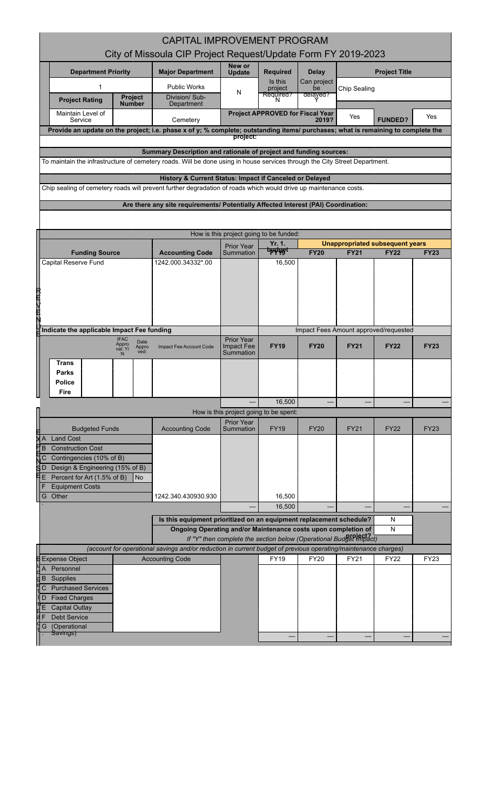| <b>CAPITAL IMPROVEMENT PROGRAM</b>                                                                                                                                                   |                                                         |                                                                                    |                                |                                                  |                            |                                        |                |             |  |
|--------------------------------------------------------------------------------------------------------------------------------------------------------------------------------------|---------------------------------------------------------|------------------------------------------------------------------------------------|--------------------------------|--------------------------------------------------|----------------------------|----------------------------------------|----------------|-------------|--|
| City of Missoula CIP Project Request/Update Form FY 2019-2023                                                                                                                        |                                                         |                                                                                    |                                |                                                  |                            |                                        |                |             |  |
| <b>Department Priority</b>                                                                                                                                                           |                                                         | <b>Major Department</b>                                                            | New or<br>Update               | <b>Required</b>                                  | <b>Delay</b>               | <b>Project Title</b>                   |                |             |  |
| 1                                                                                                                                                                                    |                                                         | <b>Public Works</b>                                                                | N                              | Is this<br>project                               | Can project<br>be          | Chip Sealing                           |                |             |  |
| <b>Project Rating</b>                                                                                                                                                                | Project<br><b>Number</b>                                | Division/Sub-<br>Department                                                        |                                | Required?<br>N                                   | delayed?                   |                                        |                |             |  |
| Maintain Level of<br>Service                                                                                                                                                         |                                                         | Cemetery                                                                           |                                | <b>Project APPROVED for Fiscal Year</b>          | 2019?                      | Yes                                    | <b>FUNDED?</b> | Yes         |  |
| Provide an update on the project; i.e. phase x of y; % complete; outstanding items/ purchases; what is remaining to complete the                                                     |                                                         |                                                                                    | project:                       |                                                  |                            |                                        |                |             |  |
|                                                                                                                                                                                      |                                                         | Summary Description and rationale of project and funding sources:                  |                                |                                                  |                            |                                        |                |             |  |
| To maintain the infrastructure of cemetery roads. Will be done using in house services through the City Street Department.                                                           |                                                         |                                                                                    |                                |                                                  |                            |                                        |                |             |  |
|                                                                                                                                                                                      | History & Current Status: Impact if Canceled or Delayed |                                                                                    |                                |                                                  |                            |                                        |                |             |  |
| Chip sealing of cemetery roads will prevent further degradation of roads which would drive up maintenance costs.                                                                     |                                                         |                                                                                    |                                |                                                  |                            |                                        |                |             |  |
|                                                                                                                                                                                      |                                                         | Are there any site requirements/ Potentially Affected Interest (PAI) Coordination: |                                |                                                  |                            |                                        |                |             |  |
|                                                                                                                                                                                      |                                                         |                                                                                    |                                |                                                  |                            |                                        |                |             |  |
|                                                                                                                                                                                      |                                                         |                                                                                    |                                | How is this project going to be funded:          |                            |                                        |                |             |  |
|                                                                                                                                                                                      |                                                         |                                                                                    | <b>Prior Year</b><br>Summation | Yr. 1.<br><del>budasi</del>                      | <b>FY20</b>                | <b>Unappropriated subsequent years</b> |                | <b>FY23</b> |  |
| <b>Funding Source</b><br>Capital Reserve Fund                                                                                                                                        |                                                         | <b>Accounting Code</b><br>1242.000.34332*.00                                       |                                | 16,500                                           |                            | <b>FY21</b>                            | <b>FY22</b>    |             |  |
|                                                                                                                                                                                      |                                                         |                                                                                    |                                |                                                  |                            |                                        |                |             |  |
|                                                                                                                                                                                      |                                                         |                                                                                    |                                |                                                  |                            |                                        |                |             |  |
| 一本社文庫                                                                                                                                                                                |                                                         |                                                                                    |                                |                                                  |                            |                                        |                |             |  |
|                                                                                                                                                                                      |                                                         |                                                                                    |                                |                                                  |                            |                                        |                |             |  |
| Indicate the applicable Impact Fee funding                                                                                                                                           |                                                         |                                                                                    |                                | Impact Fees Amount approved/requested            |                            |                                        |                |             |  |
| <b>IFAC</b><br>Appro                                                                                                                                                                 | Date                                                    |                                                                                    | <b>Prior Year</b>              |                                                  | <b>FY21</b><br><b>FY22</b> |                                        |                |             |  |
| val: Y/<br>N                                                                                                                                                                         | Appro<br>ved:                                           | Impact Fee Account Code                                                            | <b>Impact Fee</b><br>Summation | <b>FY19</b>                                      | <b>FY20</b>                |                                        |                | <b>FY23</b> |  |
| Trans                                                                                                                                                                                |                                                         |                                                                                    |                                |                                                  |                            |                                        |                |             |  |
| Parks<br>Police                                                                                                                                                                      |                                                         |                                                                                    |                                |                                                  |                            |                                        |                |             |  |
| Fire                                                                                                                                                                                 |                                                         |                                                                                    |                                |                                                  |                            |                                        |                |             |  |
|                                                                                                                                                                                      |                                                         |                                                                                    |                                | 16,500<br>How is this project going to be spent: |                            |                                        |                |             |  |
| ╶╶╶╷┙╳┢                                                                                                                                                                              |                                                         |                                                                                    | Prior Year                     |                                                  |                            |                                        |                |             |  |
| <b>Budgeted Funds</b><br><b>Land Cost</b>                                                                                                                                            |                                                         | <b>Accounting Code</b>                                                             | Summation                      | <b>FY19</b>                                      | <b>FY20</b>                | <b>FY21</b>                            | <b>FY22</b>    | <b>FY23</b> |  |
| <b>Construction Cost</b>                                                                                                                                                             |                                                         |                                                                                    |                                |                                                  |                            |                                        |                |             |  |
| Contingencies (10% of B)<br>C<br><u>ति</u>                                                                                                                                           |                                                         |                                                                                    |                                |                                                  |                            |                                        |                |             |  |
| Design & Engineering (15% of B)<br>Percent for Art (1.5% of B)<br><b>No</b><br>Е                                                                                                     |                                                         |                                                                                    |                                |                                                  |                            |                                        |                |             |  |
| <b>Equipment Costs</b>                                                                                                                                                               |                                                         |                                                                                    |                                |                                                  |                            |                                        |                |             |  |
| Other<br>G                                                                                                                                                                           |                                                         | 1242.340.430930.930                                                                |                                | 16,500<br>16,500                                 |                            |                                        |                |             |  |
|                                                                                                                                                                                      |                                                         | Is this equipment prioritized on an equipment replacement schedule?                |                                |                                                  |                            |                                        | N              |             |  |
|                                                                                                                                                                                      |                                                         | Ongoing Operating and/or Maintenance costs upon completion of<br>N                 |                                |                                                  |                            |                                        |                |             |  |
| If "Y" then complete the section below (Operational Budget Impact)<br>(account for operational savings and/or reduction in current budget of previous operating/maintenance charges) |                                                         |                                                                                    |                                |                                                  |                            |                                        |                |             |  |
| <b>Expense Object</b>                                                                                                                                                                |                                                         | <b>Accounting Code</b>                                                             |                                | <b>FY19</b>                                      | <b>FY20</b>                | FY21                                   | <b>FY22</b>    | FY23        |  |
| Personnel<br>A                                                                                                                                                                       |                                                         |                                                                                    |                                |                                                  |                            |                                        |                |             |  |
| Supplies<br>B<br><b>Purchased Services</b><br>С                                                                                                                                      |                                                         |                                                                                    |                                |                                                  |                            |                                        |                |             |  |
| <b>Fixed Charges</b><br>D                                                                                                                                                            |                                                         |                                                                                    |                                |                                                  |                            |                                        |                |             |  |
| Ε<br><b>Capital Outlay</b>                                                                                                                                                           |                                                         |                                                                                    |                                |                                                  |                            |                                        |                |             |  |
| Debt Service<br>(Operational<br>G                                                                                                                                                    |                                                         |                                                                                    |                                |                                                  |                            |                                        |                |             |  |
| Savings)                                                                                                                                                                             |                                                         |                                                                                    |                                |                                                  |                            |                                        |                |             |  |